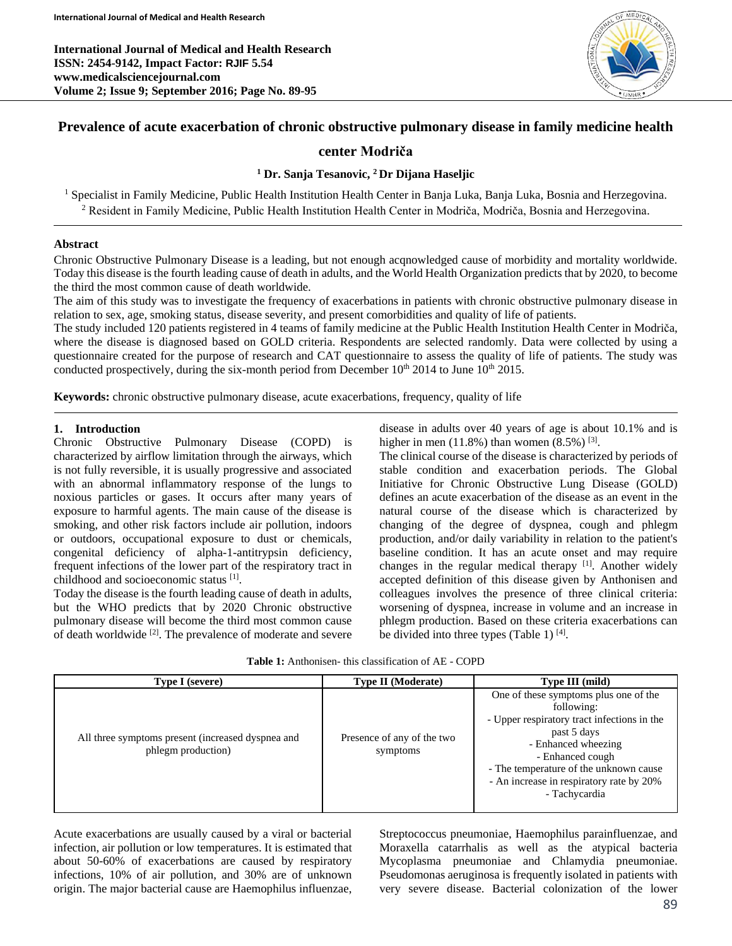**International Journal of Medical and Health Research ISSN: 2454-9142, Impact Factor: RJIF 5.54 www.medicalsciencejournal.com Volume 2; Issue 9; September 2016; Page No. 89-95**



# **Prevalence of acute exacerbation of chronic obstructive pulmonary disease in family medicine health**

## **center Modriča**

## **<sup>1</sup> Dr. Sanja Tesanovic, <sup>2</sup>Dr Dijana Haseljic**

<sup>1</sup> Specialist in Family Medicine, Public Health Institution Health Center in Banja Luka, Banja Luka, Bosnia and Herzegovina. <sup>2</sup> Resident in Family Medicine, Public Health Institution Health Center in Modriča, Modriča, Bosnia and Herzegovina.

## **Abstract**

Chronic Obstructive Pulmonary Disease is a leading, but not enough acqnowledged cause of morbidity and mortality worldwide. Today this disease is the fourth leading cause of death in adults, and the World Health Organization predicts that by 2020, to become the third the most common cause of death worldwide.

The aim of this study was to investigate the frequency of exacerbations in patients with chronic obstructive pulmonary disease in relation to sex, age, smoking status, disease severity, and present comorbidities and quality of life of patients.

The study included 120 patients registered in 4 teams of family medicine at the Public Health Institution Health Center in Modriča, where the disease is diagnosed based on GOLD criteria. Respondents are selected randomly. Data were collected by using a questionnaire created for the purpose of research and CAT questionnaire to assess the quality of life of patients. The study was conducted prospectively, during the six-month period from December  $10^{th}$  2014 to June  $10^{th}$  2015.

**Keywords:** chronic obstructive pulmonary disease, acute exacerbations, frequency, quality of life

## **1. Introduction**

Chronic Obstructive Pulmonary Disease (COPD) is characterized by airflow limitation through the airways, which is not fully reversible, it is usually progressive and associated with an abnormal inflammatory response of the lungs to noxious particles or gases. It occurs after many years of exposure to harmful agents. The main cause of the disease is smoking, and other risk factors include air pollution, indoors or outdoors, occupational exposure to dust or chemicals, congenital deficiency of alpha-1-antitrypsin deficiency, frequent infections of the lower part of the respiratory tract in childhood and socioeconomic status [1] .

Today the disease is the fourth leading cause of death in adults, but the WHO predicts that by 2020 Chronic obstructive pulmonary disease will become the third most common cause of death worldwide <sup>[2]</sup>. The prevalence of moderate and severe disease in adults over 40 years of age is about 10.1% and is higher in men  $(11.8\%)$  than women  $(8.5\%)$ <sup>[3]</sup>.

The clinical course of the disease is characterized by periods of stable condition and exacerbation periods. The Global Initiative for Chronic Obstructive Lung Disease (GOLD) defines an acute exacerbation of the disease as an event in the natural course of the disease which is characterized by changing of the degree of dyspnea, cough and phlegm production, and/or daily variability in relation to the patient's baseline condition. It has an acute onset and may require changes in the regular medical therapy [1]. Another widely accepted definition of this disease given by Anthonisen and colleagues involves the presence of three clinical criteria: worsening of dyspnea, increase in volume and an increase in phlegm production. Based on these criteria exacerbations can be divided into three types (Table 1)  $[4]$ .

| <b>Type I</b> (severe)                                                  | <b>Type II</b> (Moderate)              | Type III (mild)                                                                                                                                                                                                                                                     |
|-------------------------------------------------------------------------|----------------------------------------|---------------------------------------------------------------------------------------------------------------------------------------------------------------------------------------------------------------------------------------------------------------------|
| All three symptoms present (increased dyspnea and<br>phlegm production) | Presence of any of the two<br>symptoms | One of these symptoms plus one of the<br>following:<br>- Upper respiratory tract infections in the<br>past 5 days<br>- Enhanced wheezing<br>- Enhanced cough<br>- The temperature of the unknown cause<br>- An increase in respiratory rate by 20%<br>- Tachycardia |

Acute exacerbations are usually caused by a viral or bacterial infection, air pollution or low temperatures. It is estimated that about 50-60% of exacerbations are caused by respiratory infections, 10% of air pollution, and 30% are of unknown origin. The major bacterial cause are Haemophilus influenzae,

Streptococcus pneumoniae, Haemophilus parainfluenzae, and Moraxella catarrhalis as well as the atypical bacteria Mycoplasma pneumoniae and Chlamydia pneumoniae. Pseudomonas aeruginosa is frequently isolated in patients with very severe disease. Bacterial colonization of the lower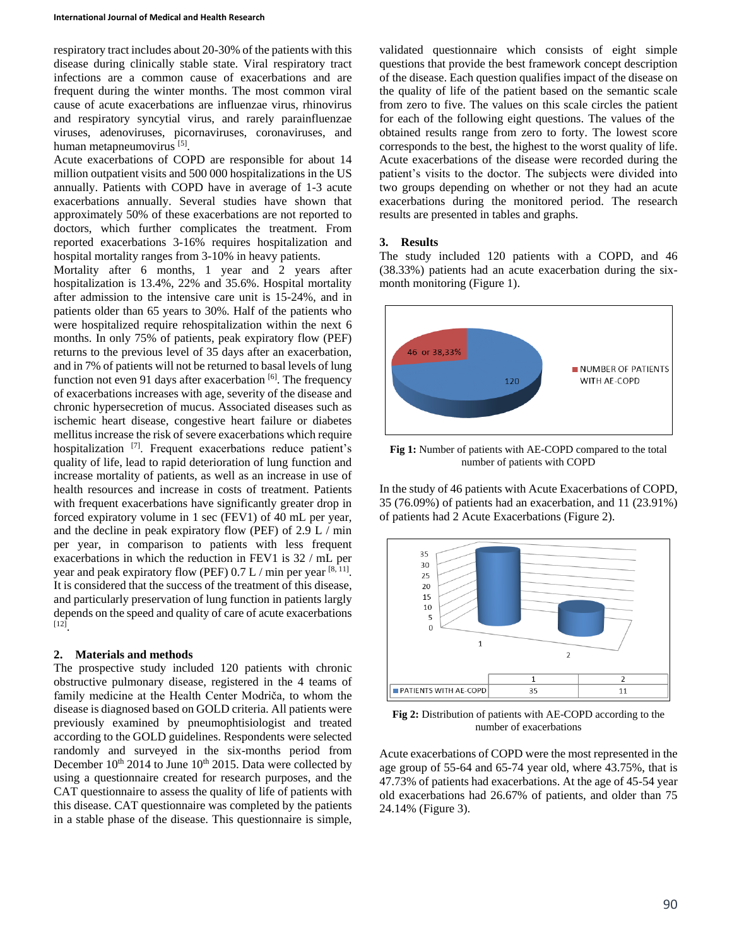respiratory tract includes about 20-30% of the patients with this disease during clinically stable state. Viral respiratory tract infections are a common cause of exacerbations and are frequent during the winter months. The most common viral cause of acute exacerbations are influenzae virus, rhinovirus and respiratory syncytial virus, and rarely parainfluenzae viruses, adenoviruses, picornaviruses, coronaviruses, and human metapneumovirus [5].

Acute exacerbations of COPD are responsible for about 14 million outpatient visits and 500 000 hospitalizations in the US annually. Patients with COPD have in average of 1-3 acute exacerbations annually. Several studies have shown that approximately 50% of these exacerbations are not reported to doctors, which further complicates the treatment. From reported exacerbations 3-16% requires hospitalization and hospital mortality ranges from 3-10% in heavy patients.

Mortality after 6 months, 1 year and 2 years after hospitalization is 13.4%, 22% and 35.6%. Hospital mortality after admission to the intensive care unit is 15-24%, and in patients older than 65 years to 30%. Half of the patients who were hospitalized require rehospitalization within the next 6 months. In only 75% of patients, peak expiratory flow (PEF) returns to the previous level of 35 days after an exacerbation, and in 7% of patients will not be returned to basal levels of lung function not even 91 days after exacerbation  $[6]$ . The frequency of exacerbations increases with age, severity of the disease and chronic hypersecretion of mucus. Associated diseases such as ischemic heart disease, congestive heart failure or diabetes mellitus increase the risk of severe exacerbations which require hospitalization [7]. Frequent exacerbations reduce patient's quality of life, lead to rapid deterioration of lung function and increase mortality of patients, as well as an increase in use of health resources and increase in costs of treatment. Patients with frequent exacerbations have significantly greater drop in forced expiratory volume in 1 sec (FEV1) of 40 mL per year, and the decline in peak expiratory flow (PEF) of 2.9 L / min per year, in comparison to patients with less frequent exacerbations in which the reduction in FEV1 is 32 / mL per year and peak expiratory flow (PEF)  $0.7 L / min$  per year  $[8, 11]$ . It is considered that the success of the treatment of this disease, and particularly preservation of lung function in patients largly depends on the speed and quality of care of acute exacerbations [12] .

#### **2. Materials and methods**

The prospective study included 120 patients with chronic obstructive pulmonary disease, registered in the 4 teams of family medicine at the Health Center Modriča, to whom the disease is diagnosed based on GOLD criteria. All patients were previously examined by pneumophtisiologist and treated according to the GOLD guidelines. Respondents were selected randomly and surveyed in the six-months period from December  $10^{th}$  2014 to June  $10^{th}$  2015. Data were collected by using a questionnaire created for research purposes, and the CAT questionnaire to assess the quality of life of patients with this disease. CAT questionnaire was completed by the patients in a stable phase of the disease. This questionnaire is simple,

validated questionnaire which consists of eight simple questions that provide the best framework concept description of the disease. Each question qualifies impact of the disease on the quality of life of the patient based on the semantic scale from zero to five. The values on this scale circles the patient for each of the following eight questions. The values of the obtained results range from zero to forty. The lowest score corresponds to the best, the highest to the worst quality of life. Acute exacerbations of the disease were recorded during the patient's visits to the doctor. The subjects were divided into two groups depending on whether or not they had an acute exacerbations during the monitored period. The research results are presented in tables and graphs.

#### **3. Results**

The study included 120 patients with a COPD, and 46 (38.33%) patients had an acute exacerbation during the sixmonth monitoring (Figure 1).



**Fig 1:** Number of patients with AE-COPD compared to the total number of patients with COPD

In the study of 46 patients with Acute Exacerbations of COPD, 35 (76.09%) of patients had an exacerbation, and 11 (23.91%) of patients had 2 Acute Exacerbations (Figure 2).



**Fig 2:** Distribution of patients with AE-COPD according to the number of exacerbations

Acute exacerbations of COPD were the most represented in the age group of 55-64 and 65-74 year old, where 43.75%, that is 47.73% of patients had exacerbations. At the age of 45-54 year old exacerbations had 26.67% of patients, and older than 75 24.14% (Figure 3).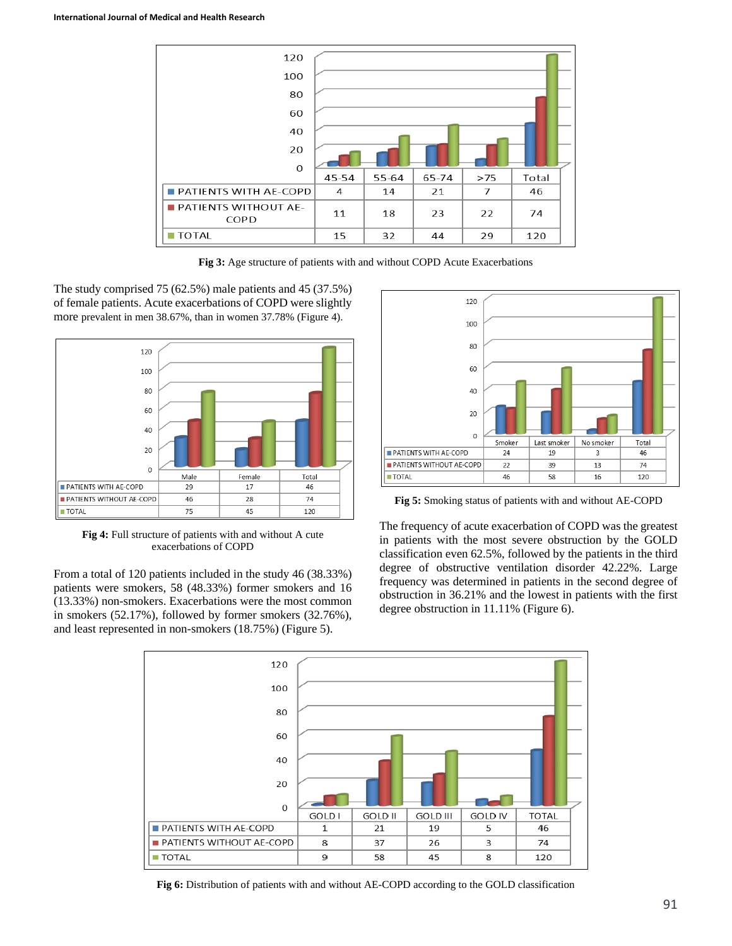

**Fig 3:** Age structure of patients with and without COPD Acute Exacerbations

The study comprised 75 (62.5%) male patients and 45 (37.5%) of female patients. Acute exacerbations of COPD were slightly more prevalent in men 38.67%, than in women 37.78% (Figure 4).



**Fig 4:** Full structure of patients with and without A cute exacerbations of COPD

From a total of 120 patients included in the study 46 (38.33%) patients were smokers, 58 (48.33%) former smokers and 16 (13.33%) non-smokers. Exacerbations were the most common in smokers (52.17%), followed by former smokers (32.76%), and least represented in non-smokers (18.75%) (Figure 5).



**Fig 5:** Smoking status of patients with and without AE-COPD

The frequency of acute exacerbation of COPD was the greatest in patients with the most severe obstruction by the GOLD classification even 62.5%, followed by the patients in the third degree of obstructive ventilation disorder 42.22%. Large frequency was determined in patients in the second degree of obstruction in 36.21% and the lowest in patients with the first degree obstruction in 11.11% (Figure 6).



**Fig 6:** Distribution of patients with and without AE-COPD according to the GOLD classification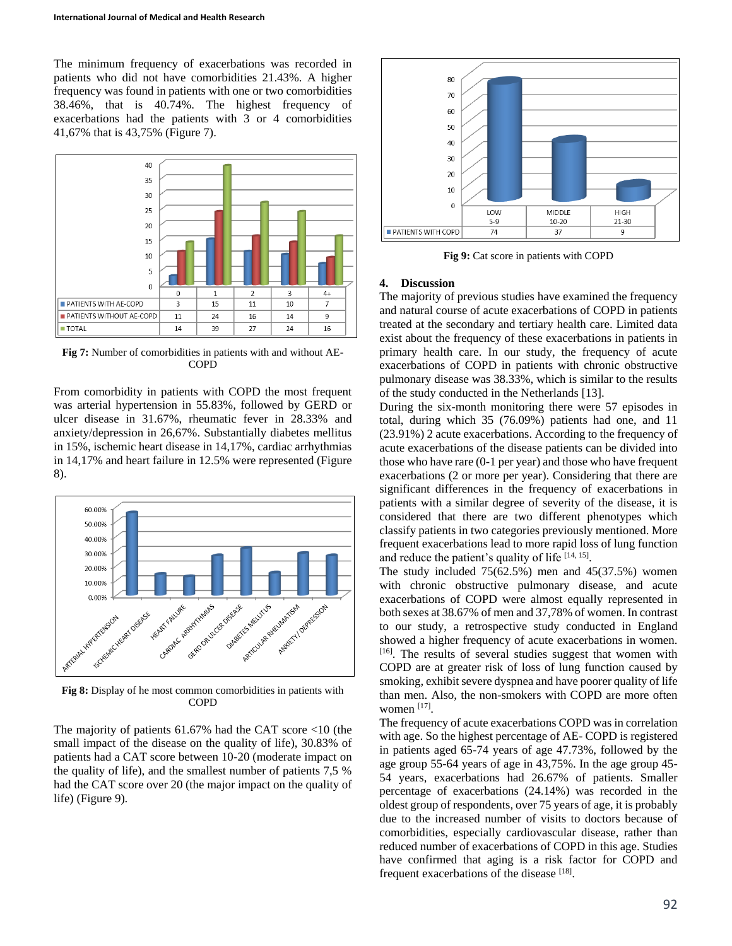The minimum frequency of exacerbations was recorded in patients who did not have comorbidities 21.43%. A higher frequency was found in patients with one or two comorbidities 38.46%, that is 40.74%. The highest frequency of exacerbations had the patients with 3 or 4 comorbidities 41,67% that is 43,75% (Figure 7).



**Fig 7:** Number of comorbidities in patients with and without AE-COPD

From comorbidity in patients with COPD the most frequent was arterial hypertension in 55.83%, followed by GERD or ulcer disease in 31.67%, rheumatic fever in 28.33% and anxiety/depression in 26,67%. Substantially diabetes mellitus in 15%, ischemic heart disease in 14,17%, cardiac arrhythmias in 14,17% and heart failure in 12.5% were represented (Figure 8).



**Fig 8:** Display of he most common comorbidities in patients with COPD

The majority of patients 61.67% had the CAT score <10 (the small impact of the disease on the quality of life), 30.83% of patients had a CAT score between 10-20 (moderate impact on the quality of life), and the smallest number of patients 7,5 % had the CAT score over 20 (the major impact on the quality of life) (Figure 9).



**Fig 9:** Cat score in patients with COPD

#### **4. Discussion**

The majority of previous studies have examined the frequency and natural course of acute exacerbations of COPD in patients treated at the secondary and tertiary health care. Limited data exist about the frequency of these exacerbations in patients in primary health care. In our study, the frequency of acute exacerbations of COPD in patients with chronic obstructive pulmonary disease was 38.33%, which is similar to the results of the study conducted in the Netherlands [13].

During the six-month monitoring there were 57 episodes in total, during which 35 (76.09%) patients had one, and 11 (23.91%) 2 acute exacerbations. According to the frequency of acute exacerbations of the disease patients can be divided into those who have rare (0-1 per year) and those who have frequent exacerbations (2 or more per year). Considering that there are significant differences in the frequency of exacerbations in patients with a similar degree of severity of the disease, it is considered that there are two different phenotypes which classify patients in two categories previously mentioned. More frequent exacerbations lead to more rapid loss of lung function and reduce the patient's quality of life  $[14, 15]$ .

The study included  $75(62.5%)$  men and  $45(37.5%)$  women with chronic obstructive pulmonary disease, and acute exacerbations of COPD were almost equally represented in both sexes at 38.67% of men and 37,78% of women. In contrast to our study, a retrospective study conducted in England showed a higher frequency of acute exacerbations in women. [16]. The results of several studies suggest that women with COPD are at greater risk of loss of lung function caused by smoking, exhibit severe dyspnea and have poorer quality of life than men. Also, the non-smokers with COPD are more often women<sup>[17]</sup>.

The frequency of acute exacerbations COPD was in correlation with age. So the highest percentage of AE- COPD is registered in patients aged 65-74 years of age 47.73%, followed by the age group 55-64 years of age in 43,75%. In the age group 45- 54 years, exacerbations had 26.67% of patients. Smaller percentage of exacerbations (24.14%) was recorded in the oldest group of respondents, over 75 years of age, it is probably due to the increased number of visits to doctors because of comorbidities, especially cardiovascular disease, rather than reduced number of exacerbations of COPD in this age. Studies have confirmed that aging is a risk factor for COPD and frequent exacerbations of the disease [18].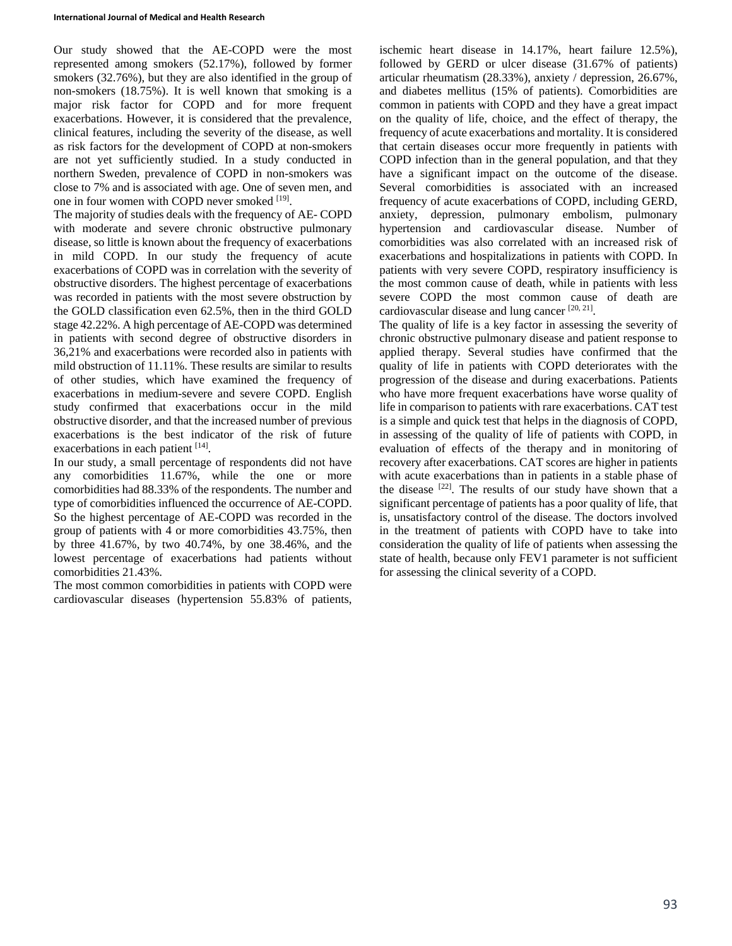Our study showed that the AE-COPD were the most represented among smokers (52.17%), followed by former smokers (32.76%), but they are also identified in the group of non-smokers (18.75%). It is well known that smoking is a major risk factor for COPD and for more frequent exacerbations. However, it is considered that the prevalence, clinical features, including the severity of the disease, as well as risk factors for the development of COPD at non-smokers are not yet sufficiently studied. In a study conducted in northern Sweden, prevalence of COPD in non-smokers was close to 7% and is associated with age. One of seven men, and one in four women with COPD never smoked [19].

The majority of studies deals with the frequency of AE- COPD with moderate and severe chronic obstructive pulmonary disease, so little is known about the frequency of exacerbations in mild COPD. In our study the frequency of acute exacerbations of COPD was in correlation with the severity of obstructive disorders. The highest percentage of exacerbations was recorded in patients with the most severe obstruction by the GOLD classification even 62.5%, then in the third GOLD stage 42.22%. A high percentage of AE-COPD was determined in patients with second degree of obstructive disorders in 36,21% and exacerbations were recorded also in patients with mild obstruction of 11.11%. These results are similar to results of other studies, which have examined the frequency of exacerbations in medium-severe and severe COPD. English study confirmed that exacerbations occur in the mild obstructive disorder, and that the increased number of previous exacerbations is the best indicator of the risk of future exacerbations in each patient [14].

In our study, a small percentage of respondents did not have any comorbidities 11.67%, while the one or more comorbidities had 88.33% of the respondents. The number and type of comorbidities influenced the occurrence of AE-COPD. So the highest percentage of AE-COPD was recorded in the group of patients with 4 or more comorbidities 43.75%, then by three 41.67%, by two 40.74%, by one 38.46%, and the lowest percentage of exacerbations had patients without comorbidities 21.43%.

The most common comorbidities in patients with COPD were cardiovascular diseases (hypertension 55.83% of patients,

ischemic heart disease in 14.17%, heart failure 12.5%), followed by GERD or ulcer disease (31.67% of patients) articular rheumatism (28.33%), anxiety / depression, 26.67%, and diabetes mellitus (15% of patients). Comorbidities are common in patients with COPD and they have a great impact on the quality of life, choice, and the effect of therapy, the frequency of acute exacerbations and mortality. It is considered that certain diseases occur more frequently in patients with COPD infection than in the general population, and that they have a significant impact on the outcome of the disease. Several comorbidities is associated with an increased frequency of acute exacerbations of COPD, including GERD, anxiety, depression, pulmonary embolism, pulmonary hypertension and cardiovascular disease. Number of comorbidities was also correlated with an increased risk of exacerbations and hospitalizations in patients with COPD. In patients with very severe COPD, respiratory insufficiency is the most common cause of death, while in patients with less severe COPD the most common cause of death are cardiovascular disease and lung cancer<sup>[20, 21]</sup>.

The quality of life is a key factor in assessing the severity of chronic obstructive pulmonary disease and patient response to applied therapy. Several studies have confirmed that the quality of life in patients with COPD deteriorates with the progression of the disease and during exacerbations. Patients who have more frequent exacerbations have worse quality of life in comparison to patients with rare exacerbations. CAT test is a simple and quick test that helps in the diagnosis of COPD, in assessing of the quality of life of patients with COPD, in evaluation of effects of the therapy and in monitoring of recovery after exacerbations. CAT scores are higher in patients with acute exacerbations than in patients in a stable phase of the disease  $[22]$ . The results of our study have shown that a significant percentage of patients has a poor quality of life, that is, unsatisfactory control of the disease. The doctors involved in the treatment of patients with COPD have to take into consideration the quality of life of patients when assessing the state of health, because only FEV1 parameter is not sufficient for assessing the clinical severity of a COPD.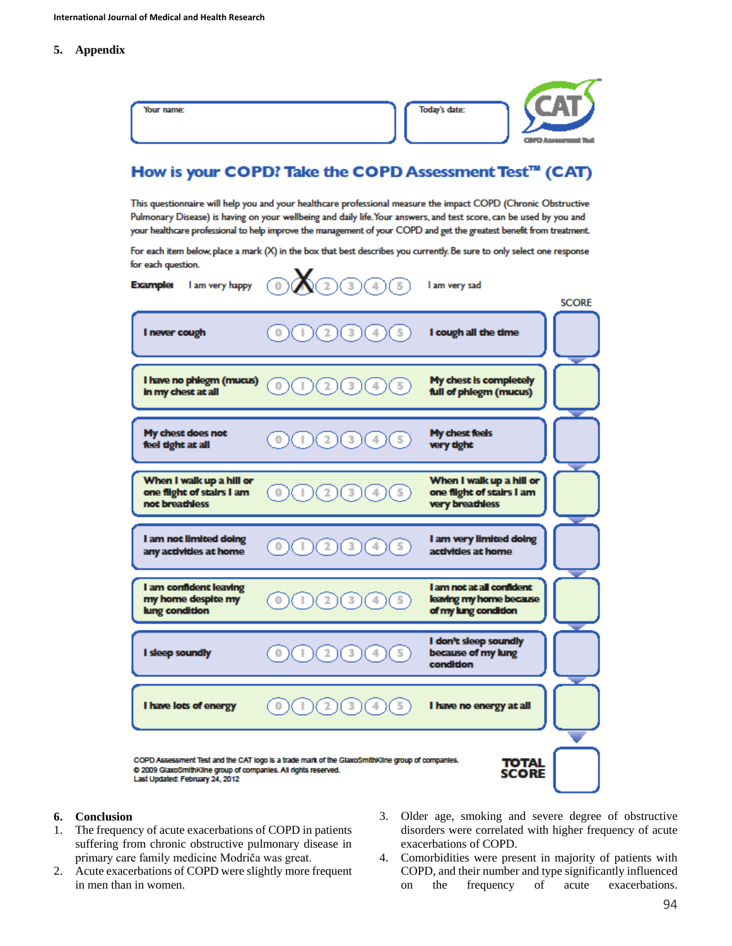**5. Appendix**

# How is your COPD? Take the COPD Assessment Test™ (CAT)

This questionnaire will help you and your healthcare professional measure the impact COPD (Chronic Obstructive Pulmonary Disease) is having on your wellbeing and daily life. Your answers, and test score, can be used by you and your healthcare professional to help improve the management of your COPD and get the greatest benefit from treatment.

For each item below, place a mark (X) in the box that best describes you currently. Be sure to only select one response for each question.

| I am very happy<br><b>Example:</b>                                                                 | ふつの○○<br>$\overline{\mathfrak{o}}$                                                               | I am very sad                                                                | <b>SCORE</b> |
|----------------------------------------------------------------------------------------------------|--------------------------------------------------------------------------------------------------|------------------------------------------------------------------------------|--------------|
| I never cough                                                                                      | 3<br>0<br>5                                                                                      | I cough all the time                                                         |              |
| I have no phlegm (mucus)<br>in my chest at all                                                     |                                                                                                  | My chest is completely<br>full of phlegm (mucus)                             |              |
| My chest does not<br>feel tight at all                                                             |                                                                                                  | My chest feels<br>very tight                                                 |              |
| When I walk up a hill or<br>one flight of stairs I am<br>not breathless                            |                                                                                                  | When I walk up a hill or<br>one flight of stairs I am<br>very breathless     |              |
| I am not limited doing<br>any activities at home                                                   | 5<br>$\overline{2}$<br>3                                                                         | I am very limited doing<br>activities at home                                |              |
| I am confident leaving<br>my home despite my<br>lung condition                                     |                                                                                                  | I am not at all confident<br>leaving my home because<br>of my lung condition |              |
| I sleep soundly                                                                                    |                                                                                                  | I don't sleep soundly<br>because of my lung<br>condition                     |              |
| I have lots of energy                                                                              |                                                                                                  | I have no energy at all                                                      |              |
| @ 2009 GlaxoSmithKline group of companies. All rights reserved.<br>Last Updated: February 24, 2012 | COPD Assessment Test and the CAT logo is a trade mark of the GlaxoSmithKline group of companies. | TOTAL<br><b>SCORE</b>                                                        |              |

#### **6. Conclusion**

- 1. The frequency of acute exacerbations of COPD in patients suffering from chronic obstructive pulmonary disease in primary care family medicine Modriča was great.
- 2. Acute exacerbations of COPD were slightly more frequent in men than in women.
- 3. Older age, smoking and severe degree of obstructive disorders were correlated with higher frequency of acute exacerbations of COPD.
- 4. Comorbidities were present in majority of patients with COPD, and their number and type significantly influenced on the frequency of acute exacerbations.